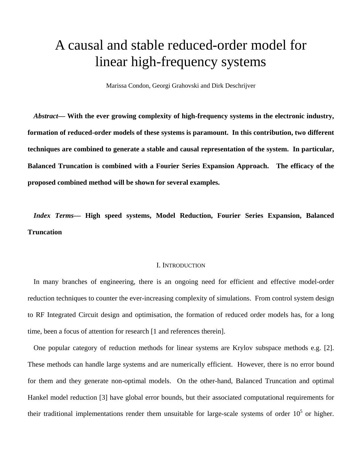# A causal and stable reduced-order model for linear high-frequency systems

Marissa Condon, Georgi Grahovski and Dirk Deschrijver

*Abstract***— With the ever growing complexity of high-frequency systems in the electronic industry, formation of reduced-order models of these systems is paramount. In this contribution, two different techniques are combined to generate a stable and causal representation of the system. In particular, Balanced Truncation is combined with a Fourier Series Expansion Approach. The efficacy of the proposed combined method will be shown for several examples.** 

*Index Terms***— High speed systems, Model Reduction, Fourier Series Expansion, Balanced Truncation** 

#### I. INTRODUCTION

In many branches of engineering, there is an ongoing need for efficient and effective model-order reduction techniques to counter the ever-increasing complexity of simulations. From control system design to RF Integrated Circuit design and optimisation, the formation of reduced order models has, for a long time, been a focus of attention for research [1 and references therein].

One popular category of reduction methods for linear systems are Krylov subspace methods e.g. [2]. These methods can handle large systems and are numerically efficient. However, there is no error bound for them and they generate non-optimal models. On the other-hand, Balanced Truncation and optimal Hankel model reduction [3] have global error bounds, but their associated computational requirements for their traditional implementations render them unsuitable for large-scale systems of order  $10<sup>5</sup>$  or higher.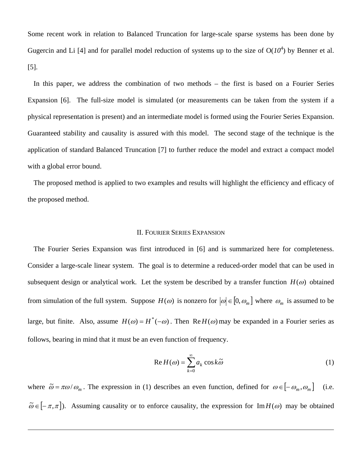Some recent work in relation to Balanced Truncation for large-scale sparse systems has been done by Gugercin and Li [4] and for parallel model reduction of systems up to the size of  $O(10^4)$  by Benner et al. [5].

In this paper, we address the combination of two methods – the first is based on a Fourier Series Expansion [6]. The full-size model is simulated (or measurements can be taken from the system if a physical representation is present) and an intermediate model is formed using the Fourier Series Expansion. Guaranteed stability and causality is assured with this model. The second stage of the technique is the application of standard Balanced Truncation [7] to further reduce the model and extract a compact model with a global error bound.

The proposed method is applied to two examples and results will highlight the efficiency and efficacy of the proposed method.

# II. FOURIER SERIES EXPANSION

The Fourier Series Expansion was first introduced in [6] and is summarized here for completeness. Consider a large-scale linear system. The goal is to determine a reduced-order model that can be used in subsequent design or analytical work. Let the system be described by a transfer function  $H(\omega)$  obtained from simulation of the full system. Suppose  $H(\omega)$  is nonzero for  $|\omega| \in [0, \omega_m]$  where  $\omega_m$  is assumed to be large, but finite. Also, assume  $H(\omega) = H^*(-\omega)$ . Then Re  $H(\omega)$  may be expanded in a Fourier series as follows, bearing in mind that it must be an even function of frequency.

$$
\operatorname{Re} H(\omega) = \sum_{k=0}^{\infty} a_k \cos k \widetilde{\omega}
$$
 (1)

where  $\tilde{\omega} = \pi \omega / \omega_m$ . The expression in (1) describes an even function, defined for  $\omega \in [-\omega_m, \omega_m]$  (i.e.  $\tilde{\omega} \in [-\pi, \pi]$ ). Assuming causality or to enforce causality, the expression for Im $H(\omega)$  may be obtained

-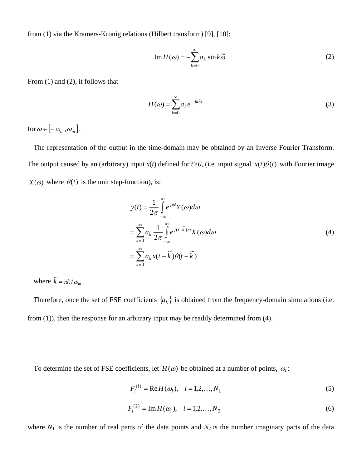from (1) via the Kramers-Kronig relations (Hilbert transform) [9], [10]:

$$
\operatorname{Im} H(\omega) = -\sum_{k=0}^{\infty} a_k \sin k \widetilde{\omega}
$$
 (2)

From (1) and (2), it follows that

$$
H(\omega) = \sum_{k=0}^{\infty} a_k e^{-jk\tilde{\omega}}
$$
 (3)

for  $\omega \in [-\omega_m, \omega_m]$ .

The representation of the output in the time-domain may be obtained by an Inverse Fourier Transform. The output caused by an (arbitrary) input  $x(t)$  defined for  $t>0$ , (i.e. input signal  $x(t)\theta(t)$  with Fourier image  $X(\omega)$  where  $\theta(t)$  is the unit step-function), is:

$$
y(t) = \frac{1}{2\pi} \int_{-\infty}^{\infty} e^{j\omega t} Y(\omega) d\omega
$$
  

$$
= \sum_{k=0}^{\infty} a_k \frac{1}{2\pi} \int_{-\infty}^{\infty} e^{j(t-\tilde{k})\omega} X(\omega) d\omega
$$
  

$$
= \sum_{k=0}^{\infty} a_k x(t - \tilde{k}) \theta(t - \tilde{k})
$$
 (4)

where  $\tilde{k} = \pi k / \omega_{\text{m}}$ .

Therefore, once the set of FSE coefficients  $\{a_k\}$  is obtained from the frequency-domain simulations (i.e. from (1)), then the response for an arbitrary input may be readily determined from (4).

To determine the set of FSE coefficients, let  $H(\omega)$  be obtained at a number of points,  $\omega_i$ :

$$
F_i^{(1)} = \text{Re}\,H(\omega_i), \quad i = 1, 2, \dots, N_1 \tag{5}
$$

$$
F_i^{(2)} = \text{Im}\,H(\omega_i), \quad i = 1, 2, ..., N_2
$$
 (6)

where  $N_1$  is the number of real parts of the data points and  $N_2$  is the number imaginary parts of the data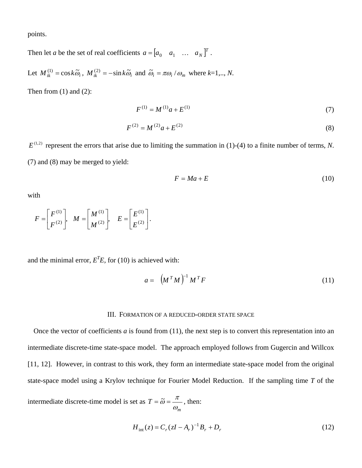points.

Then let *a* be the set of real coefficients  $a = \begin{bmatrix} a_0 & a_1 & \dots & a_N \end{bmatrix}^T$ .

Let  $M_{ik}^{(1)} = \cos k \tilde{\omega}_i$ ,  $M_{ik}^{(2)} = -\sin k \tilde{\omega}_i$  and  $\tilde{\omega}_i = \pi \omega_i / \omega_m$  where  $k=1,..,N$ .

Then from  $(1)$  and  $(2)$ :

$$
F^{(1)} = M^{(1)}a + E^{(1)}\tag{7}
$$

$$
F^{(2)} = M^{(2)}a + E^{(2)}
$$
\n(8)

 $E^{(1,2)}$  represent the errors that arise due to limiting the summation in (1)-(4) to a finite number of terms, *N*. (7) and (8) may be merged to yield:

$$
F = Ma + E \tag{10}
$$

with

$$
F = \begin{bmatrix} F^{(1)} \\ F^{(2)} \end{bmatrix}, \quad M = \begin{bmatrix} M^{(1)} \\ M^{(2)} \end{bmatrix}, \quad E = \begin{bmatrix} E^{(1)} \\ E^{(2)} \end{bmatrix}.
$$

and the minimal error,  $E<sup>T</sup>E$ , for (10) is achieved with:

$$
a = \left(M^T M\right)^{-1} M^T F \tag{11}
$$

#### III. FORMATION OF A REDUCED-ORDER STATE SPACE

Once the vector of coefficients *a* is found from (11), the next step is to convert this representation into an intermediate discrete-time state-space model. The approach employed follows from Gugercin and Willcox [11, 12]. However, in contrast to this work, they form an intermediate state-space model from the original state-space model using a Krylov technique for Fourier Model Reduction. If the sampling time *T* of the

intermediate discrete-time model is set as *m*  $T = \tilde{\omega} = \frac{\pi}{\omega_m}$ , then:

$$
H_{\text{int}}(z) = C_r (zI - A_r)^{-1} B_r + D_r
$$
 (12)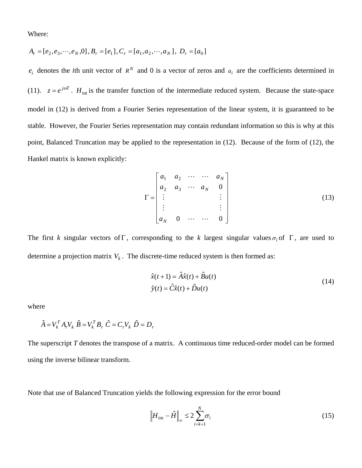Where:

$$
A_r = [e_2, e_3, \cdots, e_N, 0], B_r = [e_1], C_r = [a_1, a_2, \cdots, a_N], D_r = [a_0]
$$

 $e_i$  denotes the *i*th unit vector of  $R^N$  and 0 is a vector of zeros and  $a_i$  are the coefficients determined in (11).  $z = e^{j\omega T}$ .  $H_{int}$  is the transfer function of the intermediate reduced system. Because the state-space model in (12) is derived from a Fourier Series representation of the linear system, it is guaranteed to be stable. However, the Fourier Series representation may contain redundant information so this is why at this point, Balanced Truncation may be applied to the representation in (12). Because of the form of (12), the Hankel matrix is known explicitly:

$$
\Gamma = \begin{bmatrix} a_1 & a_2 & \cdots & \cdots & a_N \\ a_2 & a_3 & \cdots & a_N & 0 \\ \vdots & & & & \vdots \\ a_N & 0 & \cdots & \cdots & 0 \end{bmatrix}
$$
 (13)

The first *k* singular vectors of Γ, corresponding to the *k* largest singular values  $\sigma_i$  of Γ, are used to determine a projection matrix  $V_k$ . The discrete-time reduced system is then formed as:

$$
\hat{x}(t+1) = \hat{A}\hat{x}(t) + \hat{B}u(t)
$$
  
\n
$$
\hat{y}(t) = \hat{C}\hat{x}(t) + \hat{D}u(t)
$$
\n(14)

where

$$
\hat{A} = V_k^T A_r V_k \hat{B} = V_k^T B_r \hat{C} = C_r V_k \hat{D} = D_r
$$

The superscript *T* denotes the transpose of a matrix. A continuous time reduced-order model can be formed using the inverse bilinear transform.

Note that use of Balanced Truncation yields the following expression for the error bound

$$
\left| H_{\text{int}} - \hat{H} \right|_{\infty} \le 2 \sum_{i=k+1}^{N} \sigma_i \tag{15}
$$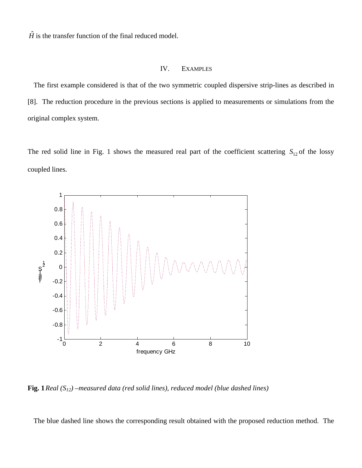$\hat{H}$  is the transfer function of the final reduced model.

# IV. EXAMPLES

The first example considered is that of the two symmetric coupled dispersive strip-lines as described in [8]. The reduction procedure in the previous sections is applied to measurements or simulations from the original complex system.

The red solid line in Fig. 1 shows the measured real part of the coefficient scattering  $S_{12}$  of the lossy coupled lines.



**Fig. 1** *Real (S12) –measured data (red solid lines), reduced model (blue dashed lines)*

The blue dashed line shows the corresponding result obtained with the proposed reduction method. The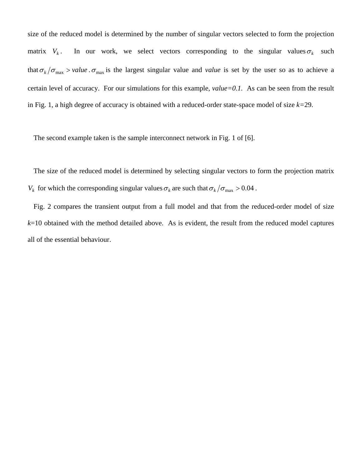size of the reduced model is determined by the number of singular vectors selected to form the projection matrix  $V_k$ . In our work, we select vectors corresponding to the singular values  $\sigma_k$  such that  $\sigma_k/\sigma_{\text{max}} >$  *value*.  $\sigma_{\text{max}}$  is the largest singular value and *value* is set by the user so as to achieve a certain level of accuracy. For our simulations for this example, *value=0.1.* As can be seen from the result in Fig. 1, a high degree of accuracy is obtained with a reduced-order state-space model of size *k=*29.

The second example taken is the sample interconnect network in Fig. 1 of [6].

The size of the reduced model is determined by selecting singular vectors to form the projection matrix  $V_k$  for which the corresponding singular values  $\sigma_k$  are such that  $\sigma_k/\sigma_{\text{max}} > 0.04$ .

Fig. 2 compares the transient output from a full model and that from the reduced-order model of size *k*=10 obtained with the method detailed above. As is evident, the result from the reduced model captures all of the essential behaviour.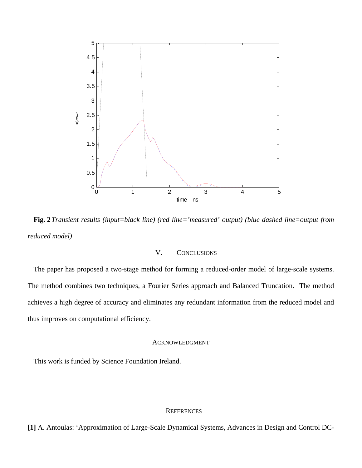

**Fig. 2***Transient results (input=black line) (red line='measured' output) (blue dashed line=output from reduced model)*

# V. CONCLUSIONS

The paper has proposed a two-stage method for forming a reduced-order model of large-scale systems. The method combines two techniques, a Fourier Series approach and Balanced Truncation. The method achieves a high degree of accuracy and eliminates any redundant information from the reduced model and thus improves on computational efficiency.

## ACKNOWLEDGMENT

This work is funded by Science Foundation Ireland.

## **REFERENCES**

**[1]** A. Antoulas: 'Approximation of Large-Scale Dynamical Systems, Advances in Design and Control DC-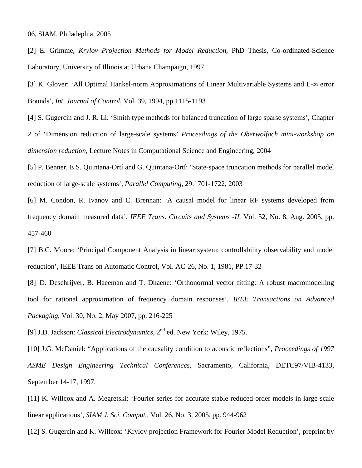06, SIAM, Philadephia, 2005

[2] E. Grimme, *Krylov Projection Methods for Model Reduction*, PhD Thesis, Co-ordinated-Science Laboratory, University of Illinois at Urbana Champaign, 1997

[3] K. Glover: 'All Optimal Hankel-norm Approximations of Linear Multivariable Systems and L-∞ error Bounds', *Int. Journal of Control*, Vol. 39, 1994, pp.1115-1193

[4] S. Gugercin and J. R. Li: 'Smith type methods for balanced truncation of large sparse systems', Chapter 2 of 'Dimension reduction of large-scale systems' *Proceedings of the Oberwolfach mini-workshop on dimension reduction*, Lecture Notes in Computational Science and Engineering, 2004

[5] P. Benner, E.S. Quintana-Ortí and G. Quintana-Ortí: 'State-space truncation methods for parallel model reduction of large-scale systems', *Parallel Computing*, 29:1701-1722, 2003

[6] M. Condon, R. Ivanov and C. Brennan: 'A causal model for linear RF systems developed from frequency domain measured data', *IEEE Trans. Circuits and Systems -II.* Vol. 52, No. 8, Aug. 2005, pp. 457-460

[7] B.C. Moore: 'Principal Component Analysis in linear system: controllability observability and model reduction', IEEE Trans on Automatic Control, Vol. AC-26, No. 1, 1981, PP.17-32

[8] D. Deschrijver, B. Haeeman and T. Dhaene: 'Orthonormal vector fitting: A robust macromodelling tool for rational approximation of frequency domain responses', *IEEE Transactions on Advanced Packaging*, Vol. 30, No. 2, May 2007, pp. 216-225

[9] J.D. Jackson: *Classical Electrodynamics*, 2nd ed. New York: Wiley, 1975.

[10] J.G. McDaniel: "Applications of the causality condition to acoustic reflections", *Proceedings of 1997 ASME Design Engineering Technical Conferences*, Sacramento, California, DETC97/VIB-4133, September 14-17, 1997.

[11] K. Willcox and A. Megretski: 'Fourier series for accurate stable reduced-order models in large-scale linear applications', *SIAM J. Sci. Comput.*, Vol. 26, No. 3, 2005, pp. 944-962

[12] S. Gugercin and K. Willcox: 'Krylov projection Framework for Fourier Model Reduction', preprint by